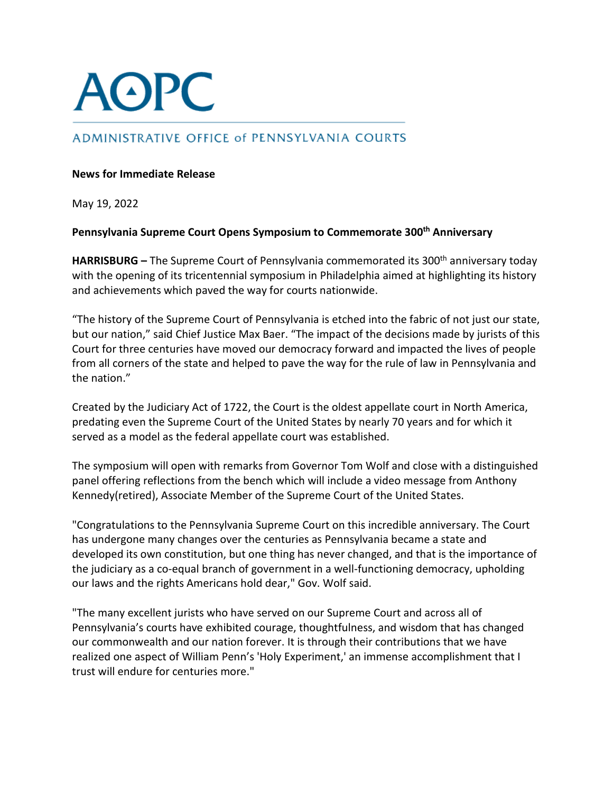

# ADMINISTRATIVE OFFICE of PENNSYLVANIA COURTS

# **News for Immediate Release**

May 19, 2022

# **Pennsylvania Supreme Court Opens Symposium to Commemorate 300th Anniversary**

**HARRISBURG** – The Supreme Court of Pennsylvania commemorated its 300<sup>th</sup> anniversary today with the opening of its tricentennial symposium in Philadelphia aimed at highlighting its history and achievements which paved the way for courts nationwide.

"The history of the Supreme Court of Pennsylvania is etched into the fabric of not just our state, but our nation," said Chief Justice Max Baer. "The impact of the decisions made by jurists of this Court for three centuries have moved our democracy forward and impacted the lives of people from all corners of the state and helped to pave the way for the rule of law in Pennsylvania and the nation."

Created by the Judiciary Act of 1722, the Court is the oldest appellate court in North America, predating even the Supreme Court of the United States by nearly 70 years and for which it served as a model as the federal appellate court was established.

The symposium will open with remarks from Governor Tom Wolf and close with a distinguished panel offering reflections from the bench which will include a video message from Anthony Kennedy(retired), Associate Member of the Supreme Court of the United States.

"Congratulations to the Pennsylvania Supreme Court on this incredible anniversary. The Court has undergone many changes over the centuries as Pennsylvania became a state and developed its own constitution, but one thing has never changed, and that is the importance of the judiciary as a co-equal branch of government in a well-functioning democracy, upholding our laws and the rights Americans hold dear," Gov. Wolf said.

"The many excellent jurists who have served on our Supreme Court and across all of Pennsylvania's courts have exhibited courage, thoughtfulness, and wisdom that has changed our commonwealth and our nation forever. It is through their contributions that we have realized one aspect of William Penn's 'Holy Experiment,' an immense accomplishment that I trust will endure for centuries more."